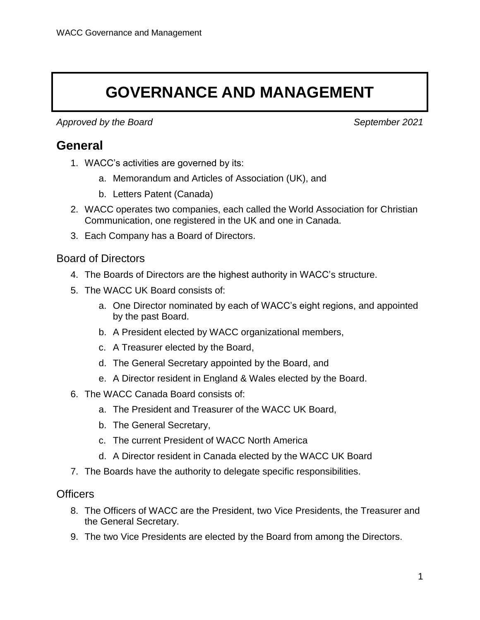# **GOVERNANCE AND MANAGEMENT**

*Approved by the Board September 2021*

### **General**

- 1. WACC's activities are governed by its:
	- a. Memorandum and Articles of Association (UK), and
	- b. Letters Patent (Canada)
- 2. WACC operates two companies, each called the World Association for Christian Communication, one registered in the UK and one in Canada.
- 3. Each Company has a Board of Directors.

#### Board of Directors

- 4. The Boards of Directors are the highest authority in WACC's structure.
- 5. The WACC UK Board consists of:
	- a. One Director nominated by each of WACC's eight regions, and appointed by the past Board.
	- b. A President elected by WACC organizational members,
	- c. A Treasurer elected by the Board,
	- d. The General Secretary appointed by the Board, and
	- e. A Director resident in England & Wales elected by the Board.
- 6. The WACC Canada Board consists of:
	- a. The President and Treasurer of the WACC UK Board,
	- b. The General Secretary,
	- c. The current President of WACC North America
	- d. A Director resident in Canada elected by the WACC UK Board
- 7. The Boards have the authority to delegate specific responsibilities.

#### **Officers**

- 8. The Officers of WACC are the President, two Vice Presidents, the Treasurer and the General Secretary.
- 9. The two Vice Presidents are elected by the Board from among the Directors.